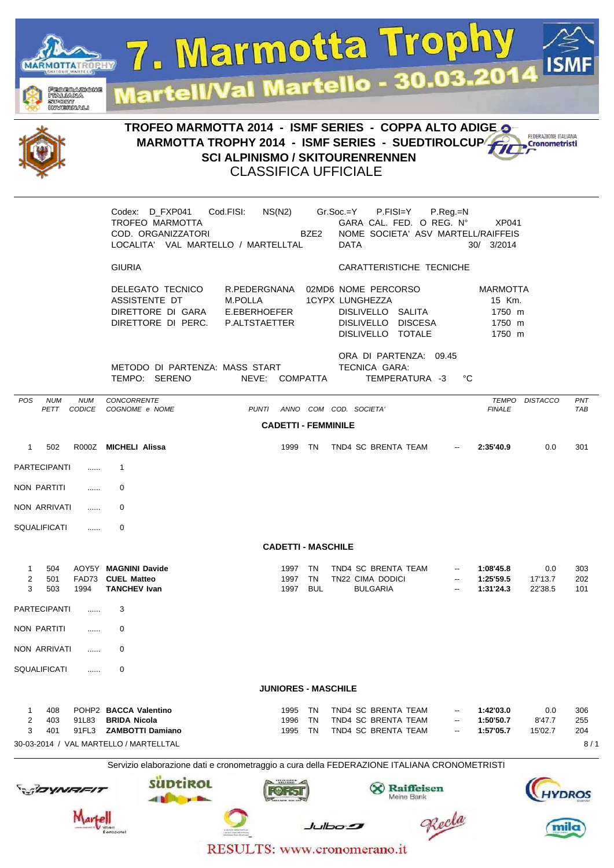

RESULTS: www.cronomerano.it

 $b$  dboxed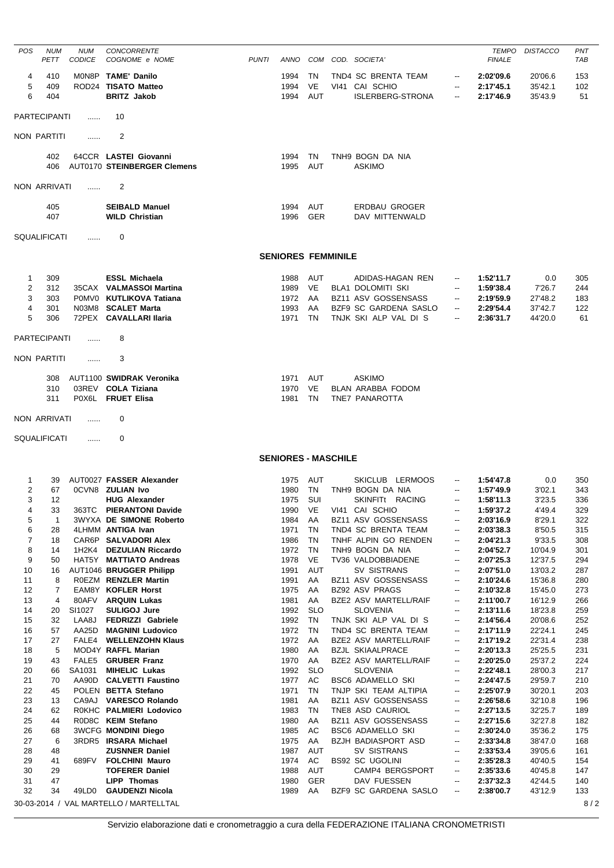| POS            | <b>NUM</b><br>PETT  | <b>NUM</b><br><b>CODICE</b> | <b>CONCORRENTE</b><br>COGNOME e NOME                            | <b>PUNTI</b> | ANNO                       |            | COM COD. SOCIETA'                                |                                | TEMPO<br><b>FINALE</b> | <b>DISTACCO</b>    | <b>PNT</b><br><b>TAB</b> |
|----------------|---------------------|-----------------------------|-----------------------------------------------------------------|--------------|----------------------------|------------|--------------------------------------------------|--------------------------------|------------------------|--------------------|--------------------------|
| 4              | 410                 |                             | MON8P TAME' Danilo                                              |              | 1994                       | TN         | TND4 SC BRENTA TEAM                              | $\overline{\phantom{a}}$       | 2:02'09.6              | 20'06.6            | 153                      |
| 5              | 409                 |                             | ROD24 TISATO Matteo                                             |              | 1994                       | VE         | VI41 CAI SCHIO                                   | $\overline{\phantom{a}}$       | 2:17'45.1              | 35'42.1            | 102                      |
| 6              | 404                 |                             | <b>BRITZ Jakob</b>                                              |              | 1994                       | <b>AUT</b> | ISLERBERG-STRONA                                 | $\overline{\phantom{a}}$       | 2:17'46.9              | 35'43.9            | 51                       |
|                | <b>PARTECIPANTI</b> | $\cdots$                    | 10                                                              |              |                            |            |                                                  |                                |                        |                    |                          |
|                | NON PARTITI         |                             | 2                                                               |              |                            |            |                                                  |                                |                        |                    |                          |
|                |                     | .                           |                                                                 |              |                            |            |                                                  |                                |                        |                    |                          |
|                | 402<br>406          |                             | 64CCR LASTEI Giovanni<br>AUT0170 STEINBERGER Clemens            |              | 1994<br>1995               | TN<br>AUT  | TNH9 BOGN DA NIA<br><b>ASKIMO</b>                |                                |                        |                    |                          |
|                | NON ARRIVATI        |                             | 2                                                               |              |                            |            |                                                  |                                |                        |                    |                          |
|                | 405                 |                             | <b>SEIBALD Manuel</b>                                           |              | 1994 AUT                   |            | ERDBAU GROGER                                    |                                |                        |                    |                          |
|                | 407                 |                             | <b>WILD Christian</b>                                           |              | 1996 GER                   |            | DAV MITTENWALD                                   |                                |                        |                    |                          |
|                | SQUALIFICATI        | .                           | 0                                                               |              |                            |            |                                                  |                                |                        |                    |                          |
|                |                     |                             |                                                                 |              | <b>SENIORES FEMMINILE</b>  |            |                                                  |                                |                        |                    |                          |
|                |                     |                             |                                                                 |              |                            |            |                                                  |                                |                        |                    |                          |
| 1              | 309                 |                             | <b>ESSL Michaela</b>                                            |              | 1988                       | AUT        | ADIDAS-HAGAN REN                                 | $\overline{\phantom{a}}$       | 1:52'11.7              | 0.0                | 305                      |
| $\overline{c}$ | 312                 |                             | 35CAX VALMASSOI Martina                                         |              | 1989                       | VE         | <b>BLA1 DOLOMITI SKI</b>                         |                                | 1:59'38.4              | 7'26.7             | 244                      |
| 3<br>4         | 303<br>301          |                             | POMVO KUTLIKOVA Tatiana<br>N03M8 SCALET Marta                   |              | 1972 AA<br>1993            | AA         | BZ11 ASV GOSSENSASS<br>BZF9 SC GARDENA SASLO     | $\overline{\phantom{a}}$       | 2:19'59.9<br>2:29'54.4 | 27'48.2<br>37'42.7 | 183<br>122               |
| 5              | 306                 |                             | 72PEX CAVALLARI Ilaria                                          |              | 1971                       | TN         | TNJK SKI ALP VAL DI S                            | $\overline{\phantom{a}}$       | 2:36'31.7              | 44'20.0            | 61                       |
|                |                     |                             |                                                                 |              |                            |            |                                                  |                                |                        |                    |                          |
|                | <b>PARTECIPANTI</b> | .                           | 8                                                               |              |                            |            |                                                  |                                |                        |                    |                          |
|                | NON PARTITI         | $\cdots$                    | 3                                                               |              |                            |            |                                                  |                                |                        |                    |                          |
|                | 308                 |                             | AUT1100 SWIDRAK Veronika                                        |              | 1971                       | AUT        | <b>ASKIMO</b>                                    |                                |                        |                    |                          |
|                | 310                 |                             | 03REV COLA Tiziana                                              |              | 1970                       | VE.        | BLAN ARABBA FODOM                                |                                |                        |                    |                          |
|                | 311                 |                             | POX6L FRUET Elisa                                               |              | 1981                       | <b>TN</b>  | TNE7 PANAROTTA                                   |                                |                        |                    |                          |
| NON ARRIVATI   |                     | .                           | 0                                                               |              |                            |            |                                                  |                                |                        |                    |                          |
|                |                     |                             |                                                                 |              |                            |            |                                                  |                                |                        |                    |                          |
|                | SQUALIFICATI        | $\cdots$                    | 0                                                               |              |                            |            |                                                  |                                |                        |                    |                          |
|                |                     |                             |                                                                 |              | <b>SENIORES - MASCHILE</b> |            |                                                  |                                |                        |                    |                          |
| 1              | 39                  |                             | AUT0027 FASSER Alexander                                        |              | 1975 AUT                   |            | SKICLUB LERMOOS                                  | $\overline{\phantom{a}}$       | 1:54'47.8              | 0.0                | 350                      |
| 2              | 67                  |                             | <b>OCVN8 ZULIAN Ivo</b>                                         |              | 1980                       | TN         | TNH9 BOGN DA NIA                                 | $\overline{\phantom{a}}$       | 1:57'49.9              | 3'02.1             | 343                      |
| 3              | 12                  |                             | <b>HUG Alexander</b>                                            |              | 1975                       | sui        | SKINFITt RACING                                  | $\overline{\phantom{a}}$       | 1:58'11.3              | 3'23.5             | 336                      |
| 4<br>5         | 33<br>$\mathbf{1}$  |                             | 363TC PIERANTONI Davide<br>3WYXA DE SIMONE Roberto              |              | 1984                       | AA         | 1990 VE VI41 CAI SCHIO<br>BZ11 ASV GOSSENSASS    | --                             | 1:59'37.2<br>2:03'16.9 | 4'49.4<br>8'29.1   | 329<br>322               |
| 6              | 28                  |                             | 4LHMM ANTIGA Ivan                                               |              | 1971                       | TN         | TND4 SC BRENTA TEAM                              | --                             | 2:03'38.3              | 8'50.5             | 315                      |
| 7              | 18                  |                             | CAR6P SALVADORI Alex                                            |              | 1986                       | TN         | TNHF ALPIN GO RENDEN                             | --                             | 2:04'21.3              | 9'33.5             | 308                      |
| 8              | 14                  |                             | 1H2K4 DEZULIAN Riccardo                                         |              | 1972                       | TN         | TNH9 BOGN DA NIA                                 | --                             | 2:04'52.7              | 10'04.9            | 301                      |
| 9              | 50                  |                             | HAT5Y MATTIATO Andreas                                          |              | 1978                       | VE         | TV36 VALDOBBIADENE                               | --                             | 2:07'25.3              | 12'37.5            | 294                      |
| 10             | 16                  |                             | AUT1046 BRUGGER Philipp                                         |              | 1991                       | <b>AUT</b> | <b>SV SISTRANS</b>                               | ۰.                             | 2:07'51.0              | 13'03.2            | 287                      |
| 11<br>12       | 8<br>7              |                             | ROEZM RENZLER Martin<br>EAM8Y KOFLER Horst                      |              | 1991<br>1975               | AA<br>AA   | BZ11 ASV GOSSENSASS<br>BZ92 ASV PRAGS            | --<br>÷                        | 2:10'24.6<br>2:10'32.8 | 15'36.8<br>15'45.0 | 280<br>273               |
| 13             | 4                   |                             | 80AFV ARQUIN Lukas                                              |              | 1981                       | AA         | BZE2 ASV MARTELL/RAIF                            | --                             | 2:11'00.7              | 16'12.9            | 266                      |
| 14             | 20                  | SI1027                      | <b>SULIGOJ Jure</b>                                             |              | 1992                       | <b>SLO</b> | <b>SLOVENIA</b>                                  | --                             | 2:13'11.6              | 18'23.8            | 259                      |
| 15             | 32                  |                             | LAA8J FEDRIZZI Gabriele                                         |              | 1992                       | TN         | TNJK SKI ALP VAL DI S                            | ۰.                             | 2:14'56.4              | 20'08.6            | 252                      |
| 16             | 57                  |                             | AA25D MAGNINI Ludovico                                          |              | 1972                       | TN         | TND4 SC BRENTA TEAM                              | --                             | 2:17'11.9              | 22'24.1            | 245                      |
| 17             | 27                  |                             | FALE4 WELLENZOHN Klaus                                          |              | 1972                       | AA         | BZE2 ASV MARTELL/RAIF                            | --                             | 2:17'19.2              | 22'31.4            | 238                      |
| 18<br>19       | 5<br>43             |                             | MOD4Y RAFFL Marian<br>FALE5 GRUBER Franz                        |              | 1980<br>1970               | AA<br>AA   | <b>BZJL SKIAALPRACE</b><br>BZE2 ASV MARTELL/RAIF | --<br>--                       | 2:20'13.3<br>2:20'25.0 | 25'25.5<br>25'37.2 | 231<br>224               |
| 20             | 66                  | SA1031                      | <b>MIHELIC Lukas</b>                                            |              | 1992                       | <b>SLO</b> | <b>SLOVENIA</b>                                  | $\overline{\phantom{a}}$       | 2:22'48.1              | 28'00.3            | 217                      |
| 21             | 70                  |                             | AA90D CALVETTI Faustino                                         |              | 1977                       | AC         | <b>BSC6 ADAMELLO SKI</b>                         | ۰.                             | 2:24'47.5              | 29'59.7            | 210                      |
| 22             | 45                  |                             | POLEN BETTA Stefano                                             |              | 1971                       | TN         | TNJP SKI TEAM ALTIPIA                            | --                             | 2:25'07.9              | 30'20.1            | 203                      |
| 23             | 13                  |                             | CA9AJ VARESCO Rolando                                           |              | 1981                       | AA         | BZ11 ASV GOSSENSASS                              | ۰.                             | 2:26'58.6              | 32'10.8            | 196                      |
|                |                     |                             | ROKHC PALMIERI Lodovico                                         |              | 1983                       | TN         | TNE8 ASD CAURIOL<br>BZ11 ASV GOSSENSASS          | $\overline{\phantom{a}}$       | 2:27'13.5              | 32'25.7            | 189                      |
| 24             | 62                  |                             |                                                                 |              |                            |            |                                                  |                                |                        |                    |                          |
| 25             | 44                  |                             | R0D8C KEIM Stefano                                              |              | 1980                       | AA         |                                                  | --<br>$\overline{\phantom{a}}$ | 2:27'15.6              | 32'27.8            | 182                      |
| 26<br>27       | 68<br>6             |                             | <b>3WCFG MONDINI Diego</b><br>3RDR5 IRSARA Michael              |              | 1985<br>1975               | AC<br>AA   | BSC6 ADAMELLO SKI<br>BZJH BADIASPORT ASD         | --                             | 2:30'24.0<br>2:33'34.8 | 35'36.2<br>38'47.0 | 175<br>168               |
| 28             | 48                  |                             | <b>ZUSNNER Daniel</b>                                           |              | 1987                       | AUT        | SV SISTRANS                                      | $\overline{\phantom{a}}$       | 2:33'53.4              | 39'05.6            | 161                      |
| 29             | 41                  | 689FV                       | <b>FOLCHINI Mauro</b>                                           |              | 1974                       | AC         | <b>BS92 SC UGOLINI</b>                           | --                             | 2:35'28.3              | 40'40.5            | 154                      |
| 30             | 29                  |                             | <b>TOFERER Daniel</b>                                           |              | 1988                       | AUT        | CAMP4 BERGSPORT                                  | --                             | 2:35'33.6              | 40'45.8            | 147                      |
| 31             | 47                  |                             | <b>LIPP Thomas</b>                                              |              | 1980                       | <b>GER</b> | DAV FUESSEN                                      | $\overline{\phantom{a}}$       | 2:37'32.3              | 42'44.5            | 140                      |
| 32             | 34                  |                             | 49LD0 GAUDENZI Nicola<br>30-03-2014 / VAL MARTELLO / MARTELLTAL |              | 1989                       | AA         | BZF9 SC GARDENA SASLO                            | --                             | 2:38'00.7              | 43'12.9            | 133<br>8/2               |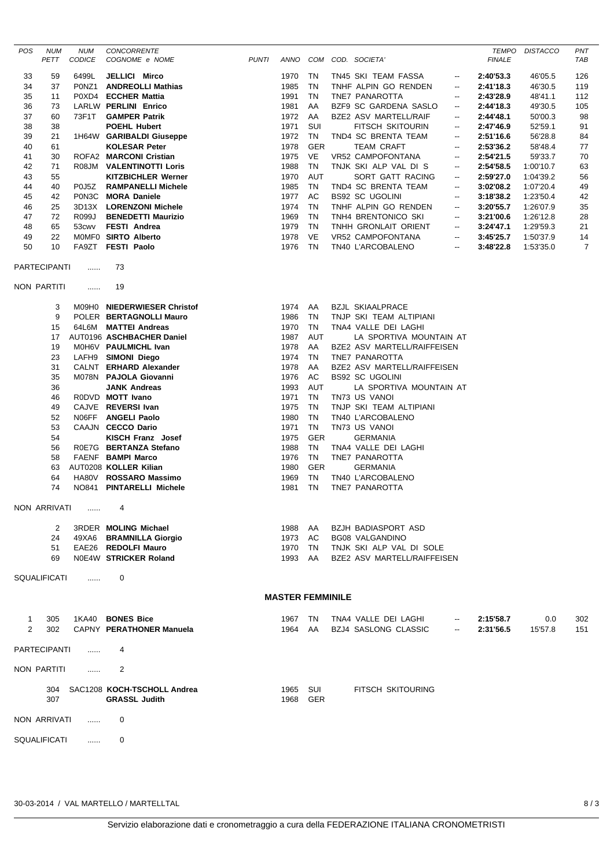| POS                 | <b>NUM</b><br>PETT  | <b>NUM</b><br><b>CODICE</b> | CONCORRENTE<br>COGNOME e NOME                       | <b>PUNTI</b> |                         |                  | ANNO COM COD. SOCIETA'                              |                          | <b>TEMPO</b><br><b>FINALE</b> | <b>DISTACCO</b> | PNT<br>TAB     |
|---------------------|---------------------|-----------------------------|-----------------------------------------------------|--------------|-------------------------|------------------|-----------------------------------------------------|--------------------------|-------------------------------|-----------------|----------------|
| 33                  | 59                  | 6499L                       | JELLICI Mirco                                       |              | 1970                    | TN               | TN45 SKI TEAM FASSA                                 | $\overline{\phantom{a}}$ | 2:40'53.3                     | 46'05.5         | 126            |
| 34                  | 37                  | P0NZ1                       | <b>ANDREOLLI Mathias</b>                            |              | 1985                    | TN               | TNHF ALPIN GO RENDEN                                | $\overline{\phantom{a}}$ | 2:41'18.3                     | 46'30.5         | 119            |
| 35                  | 11                  |                             | P0XD4 ECCHER Mattia                                 |              | 1991                    | <b>TN</b>        | TNE7 PANAROTTA                                      | $\overline{\phantom{a}}$ | 2:43'28.9                     | 48'41.1         | 112            |
| 36                  | 73                  |                             | <b>LARLW PERLINI Enrico</b>                         |              | 1981                    | AA               | BZF9 SC GARDENA SASLO                               | $\overline{\phantom{a}}$ | 2:44'18.3                     | 49'30.5         | 105            |
| 37                  | 60                  | 73F1T                       | <b>GAMPER Patrik</b>                                |              | 1972                    | AA               | <b>BZE2 ASV MARTELL/RAIF</b>                        | --                       | 2:44'48.1                     | 50'00.3         | 98             |
| 38                  | 38                  |                             | <b>POEHL Hubert</b>                                 |              | 1971                    | SUI              | FITSCH SKITOURIN                                    | $\overline{\phantom{a}}$ | 2:47'46.9                     | 52'59.1         | 91             |
| 39                  | 21                  |                             | 1H64W GARIBALDI Giuseppe                            |              | 1972                    | <b>TN</b>        | TND4 SC BRENTA TEAM                                 | $\overline{\phantom{a}}$ | 2:51'16.6                     | 56'28.8         | 84             |
| 40                  | 61                  |                             | <b>KOLESAR Peter</b>                                |              | 1978                    | <b>GER</b>       | <b>TEAM CRAFT</b>                                   | $\overline{\phantom{a}}$ | 2:53'36.2                     | 58'48.4         | 77             |
| 41                  | 30                  |                             | ROFA2 MARCONI Cristian                              |              | 1975                    | VE               | <b>VR52 CAMPOFONTANA</b>                            | $\overline{\phantom{a}}$ | 2:54'21.5                     | 59'33.7         | 70             |
| 42                  | 71                  | R08JM                       | <b>VALENTINOTTI Loris</b>                           |              | 1988                    | <b>TN</b>        | TNJK SKI ALP VAL DI S                               | --                       | 2:54'58.5                     | 1:00'10.7       | 63             |
| 43                  | 55                  |                             | <b>KITZBICHLER Werner</b>                           |              | 1970                    | <b>AUT</b>       | SORT GATT RACING                                    | $\overline{\phantom{a}}$ | 2:59'27.0                     | 1:04'39.2       | 56             |
| 44                  | 40                  | P0J5Z                       | <b>RAMPANELLI Michele</b>                           |              | 1985                    | TN               | TND4 SC BRENTA TEAM                                 | $\overline{\phantom{a}}$ | 3:02'08.2                     | 1:07'20.4       | 49             |
| 45                  | 42                  | P0N3C                       | <b>MORA Daniele</b>                                 |              | 1977                    | AC               | <b>BS92 SC UGOLINI</b>                              | --                       | 3:18'38.2                     | 1:23'50.4       | 42             |
| 46                  | 25                  |                             | 3D13X LORENZONI Michele                             |              | 1974                    | <b>TN</b>        | TNHF ALPIN GO RENDEN                                | $\overline{\phantom{a}}$ | 3:20'55.7                     | 1:26'07.9       | 35             |
| 47                  | 72                  | R099J                       | <b>BENEDETTI Maurizio</b>                           |              | 1969                    | TN               | TNH4 BRENTONICO SKI                                 | $\overline{\phantom{a}}$ | 3:21'00.6                     | 1:26'12.8       | 28             |
| 48                  | 65                  | 53cwv                       | <b>FESTI Andrea</b>                                 |              | 1979                    | <b>TN</b>        | TNHH GRONLAIT ORIENT                                | $\overline{\phantom{a}}$ | 3:24'47.1                     | 1:29'59.3       | 21             |
| 49                  | 22                  |                             | MOMFO SIRTO Alberto                                 |              | 1978                    | VE               | VR52 CAMPOFONTANA                                   | $\overline{\phantom{a}}$ | 3:45'25.7                     | 1:50'37.9       | 14             |
| 50                  | 10                  | FA9ZT                       | <b>FESTI Paolo</b>                                  |              | 1976                    | <b>TN</b>        | TN40 L'ARCOBALENO                                   | --                       | 3:48'22.8                     | 1:53'35.0       | $\overline{7}$ |
|                     | PARTECIPANTI        | .                           | 73                                                  |              |                         |                  |                                                     |                          |                               |                 |                |
|                     | NON PARTITI         | .                           | 19                                                  |              |                         |                  |                                                     |                          |                               |                 |                |
|                     | 3                   |                             | M09H0 NIEDERWIESER Christof                         |              | 1974                    | AA               | <b>BZJL SKIAALPRACE</b>                             |                          |                               |                 |                |
|                     | 9                   |                             | POLER BERTAGNOLLI Mauro                             |              | 1986                    | TN               | TNJP SKI TEAM ALTIPIANI                             |                          |                               |                 |                |
|                     | 15                  |                             | 64L6M MATTEI Andreas                                |              | 1970                    | TN               | TNA4 VALLE DEI LAGHI                                |                          |                               |                 |                |
|                     | 17                  |                             | AUT0196 ASCHBACHER Daniel                           |              | 1987                    | <b>AUT</b>       | LA SPORTIVA MOUNTAIN AT                             |                          |                               |                 |                |
|                     | 19                  |                             | MOH6V PAULMICHL Ivan                                |              | 1978                    | AA               | BZE2 ASV MARTELL/RAIFFEISEN                         |                          |                               |                 |                |
|                     | 23                  |                             | LAFH9 SIMONI Diego                                  |              | 1974                    | TN               | TNE7 PANAROTTA                                      |                          |                               |                 |                |
|                     | 31                  |                             | CALNT ERHARD Alexander                              |              | 1978                    | AA               | BZE2 ASV MARTELL/RAIFFEISEN                         |                          |                               |                 |                |
|                     | 35                  |                             | M078N PAJOLA Giovanni                               |              | 1976                    | AC               | <b>BS92 SC UGOLINI</b>                              |                          |                               |                 |                |
|                     | 36                  |                             | <b>JANK Andreas</b>                                 |              | 1993                    | <b>AUT</b>       | LA SPORTIVA MOUNTAIN AT                             |                          |                               |                 |                |
|                     | 46                  |                             | RODVD MOTT Ivano                                    |              | 1971                    | TN               | TN73 US VANOI                                       |                          |                               |                 |                |
|                     | 49                  |                             | CAJVE REVERSI Ivan                                  |              | 1975                    | TN               | TNJP SKI TEAM ALTIPIANI                             |                          |                               |                 |                |
|                     | 52                  |                             | NO6FF ANGELI Paolo                                  |              | 1980                    | <b>TN</b>        | TN40 L'ARCOBALENO                                   |                          |                               |                 |                |
|                     | 53                  |                             | CAAJN CECCO Dario                                   |              | 1971                    | <b>TN</b>        | TN73 US VANOI                                       |                          |                               |                 |                |
|                     | 54<br>56            |                             | <b>KISCH Franz</b> Josef<br>R0E7G BERTANZA Stefano  |              | 1975<br>1988            | <b>GER</b><br>TN | <b>GERMANIA</b><br>TNA4 VALLE DEI LAGHI             |                          |                               |                 |                |
|                     | 58                  |                             | FAENF BAMPI Marco                                   |              | 1976                    | TN               | TNE7 PANAROTTA                                      |                          |                               |                 |                |
|                     | 63                  |                             | AUT0208 KOLLER Kilian                               |              | 1980                    | <b>GER</b>       | <b>GERMANIA</b>                                     |                          |                               |                 |                |
|                     | 64                  |                             | HA80V ROSSARO Massimo                               |              | 1969                    | TN               | TN40 L'ARCOBALENO                                   |                          |                               |                 |                |
|                     | 74                  |                             | NO841 PINTARELLI Michele                            |              | 1981                    | <b>TN</b>        | TNE7 PANAROTTA                                      |                          |                               |                 |                |
|                     | NON ARRIVATI        | <b>Contract Contract</b>    | 4                                                   |              |                         |                  |                                                     |                          |                               |                 |                |
|                     | 2                   |                             | <b>3RDER MOLING Michael</b>                         |              | 1988                    | AA               | <b>BZJH BADIASPORT ASD</b>                          |                          |                               |                 |                |
|                     | 24                  | 49XA6                       | <b>BRAMNILLA Giorgio</b>                            |              | 1973                    | AC.              | <b>BG08 VALGANDINO</b>                              |                          |                               |                 |                |
|                     | 51                  |                             | EAE26 REDOLFI Mauro                                 |              | 1970                    | TN               | TNJK SKI ALP VAL DI SOLE                            |                          |                               |                 |                |
|                     | 69                  |                             | NOE4W STRICKER Roland                               |              | 1993                    | AA               | BZE2 ASV MARTELL/RAIFFEISEN                         |                          |                               |                 |                |
|                     | <b>SQUALIFICATI</b> |                             | 0                                                   |              |                         |                  |                                                     |                          |                               |                 |                |
|                     |                     |                             |                                                     |              | <b>MASTER FEMMINILE</b> |                  |                                                     |                          |                               |                 |                |
|                     |                     |                             |                                                     |              |                         |                  |                                                     |                          |                               |                 |                |
| 1<br>$\overline{2}$ | 305<br>302          | 1KA40                       | <b>BONES Bice</b><br>CAPNY PERATHONER Manuela       |              | 1967<br>1964            | TN<br>AA         | TNA4 VALLE DEI LAGHI<br><b>BZJ4 SASLONG CLASSIC</b> |                          | 2:15'58.7<br>2:31'56.5        | 0.0<br>15'57.8  | 302<br>151     |
|                     | PARTECIPANTI        | .                           | 4                                                   |              |                         |                  |                                                     |                          |                               |                 |                |
|                     | NON PARTITI         |                             | 2                                                   |              |                         |                  |                                                     |                          |                               |                 |                |
|                     | 304<br>307          |                             | SAC1208 KOCH-TSCHOLL Andrea<br><b>GRASSL Judith</b> |              | 1965<br>1968            | SUI<br>GER       | FITSCH SKITOURING                                   |                          |                               |                 |                |
|                     | NON ARRIVATI        | .                           | 0                                                   |              |                         |                  |                                                     |                          |                               |                 |                |
|                     | SQUALIFICATI        | .                           | 0                                                   |              |                         |                  |                                                     |                          |                               |                 |                |

30-03-2014 / VAL MARTELLO / MARTELLTAL 8 / 3